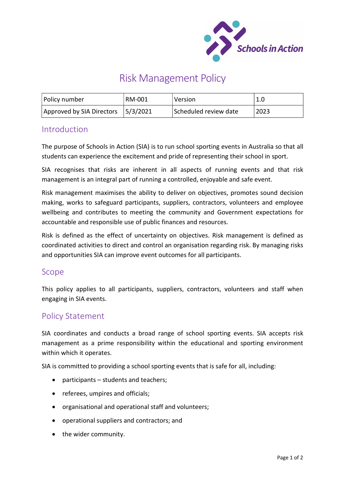

# Risk Management Policy

| Policy number                      | RM-001 | Version               | 1.0  |
|------------------------------------|--------|-----------------------|------|
| Approved by SIA Directors 5/3/2021 |        | Scheduled review date | 2023 |

### Introduction

The purpose of Schools in Action (SIA) is to run school sporting events in Australia so that all students can experience the excitement and pride of representing their school in sport.

SIA recognises that risks are inherent in all aspects of running events and that risk management is an integral part of running a controlled, enjoyable and safe event.

Risk management maximises the ability to deliver on objectives, promotes sound decision making, works to safeguard participants, suppliers, contractors, volunteers and employee wellbeing and contributes to meeting the community and Government expectations for accountable and responsible use of public finances and resources.

Risk is defined as the effect of uncertainty on objectives. Risk management is defined as coordinated activities to direct and control an organisation regarding risk. By managing risks and opportunities SIA can improve event outcomes for all participants.

#### Scope

This policy applies to all participants, suppliers, contractors, volunteers and staff when engaging in SIA events.

## Policy Statement

SIA coordinates and conducts a broad range of school sporting events. SIA accepts risk management as a prime responsibility within the educational and sporting environment within which it operates.

SIA is committed to providing a school sporting events that is safe for all, including:

- participants students and teachers;
- referees, umpires and officials;
- organisational and operational staff and volunteers;
- operational suppliers and contractors; and
- the wider community.